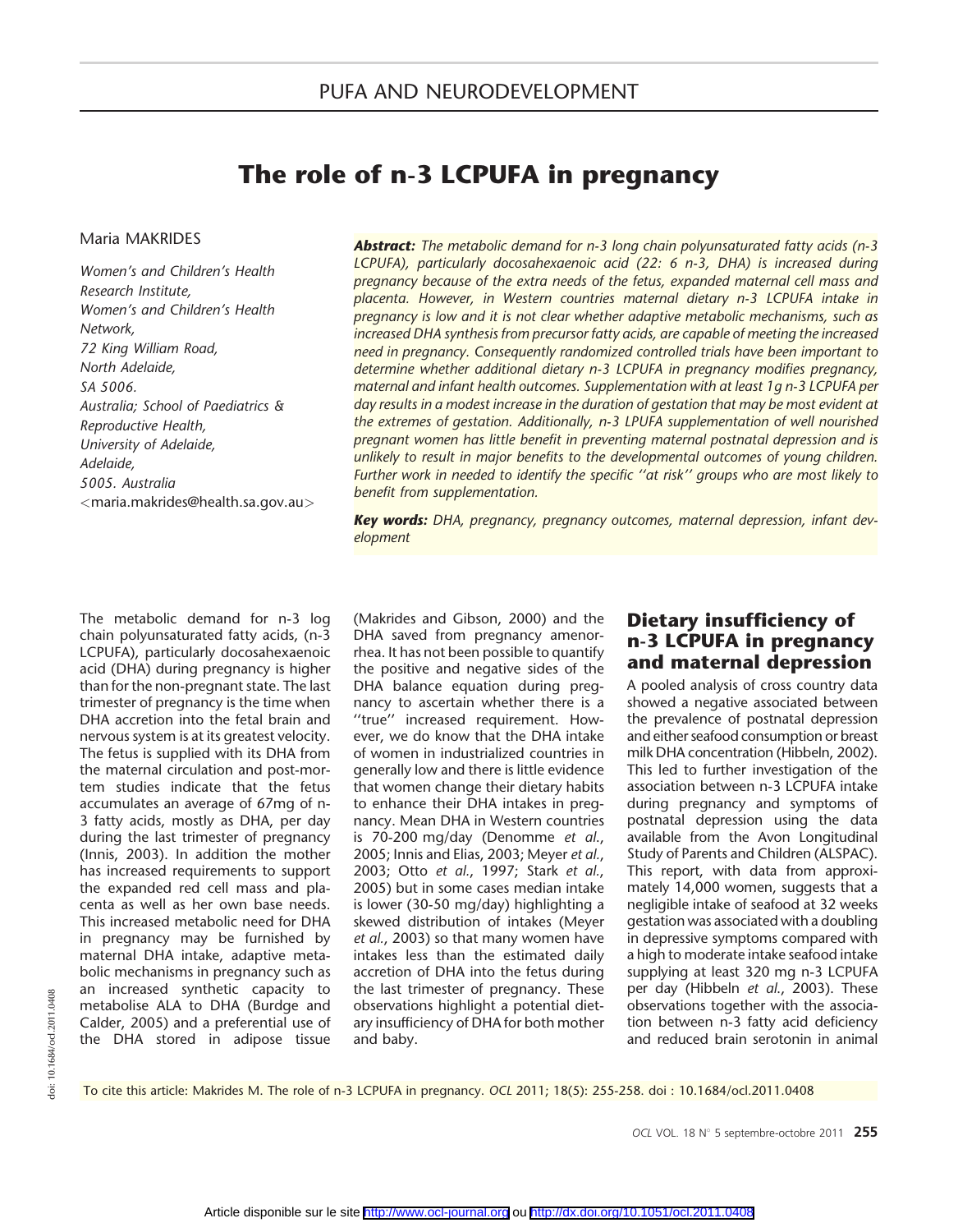# The role of n-3 LCPUFA in pregnancy

#### Maria MAKRIDES

Women's and Children's Health Research Institute, Women's and Children's Health Network, 72 King William Road, North Adelaide, SA 5006. Australia; School of Paediatrics & Reproductive Health, University of Adelaide, Adelaide, 5005. Australia <maria.makrides@health.sa.gov.au>

**Abstract:** The metabolic demand for n-3 long chain polyunsaturated fatty acids (n-3 LCPUFA), particularly docosahexaenoic acid (22: 6 n-3, DHA) is increased during pregnancy because of the extra needs of the fetus, expanded maternal cell mass and placenta. However, in Western countries maternal dietary n-3 LCPUFA intake in pregnancy is low and it is not clear whether adaptive metabolic mechanisms, such as increased DHA synthesis from precursor fatty acids, are capable of meeting the increased need in pregnancy. Consequently randomized controlled trials have been important to determine whether additional dietary n-3 LCPUFA in pregnancy modifies pregnancy, maternal and infant health outcomes. Supplementation with at least 1g n-3 LCPUFA per day results in a modest increase in the duration of gestation that may be most evident at the extremes of gestation. Additionally, n-3 LPUFA supplementation of well nourished pregnant women has little benefit in preventing maternal postnatal depression and is unlikely to result in major benefits to the developmental outcomes of young children. Further work in needed to identify the specific ''at risk'' groups who are most likely to benefit from supplementation.

Key words: DHA, pregnancy, pregnancy outcomes, maternal depression, infant development

The metabolic demand for n-3 log chain polyunsaturated fatty acids, (n-3 LCPUFA), particularly docosahexaenoic acid (DHA) during pregnancy is higher than for the non-pregnant state. The last trimester of pregnancy is the time when DHA accretion into the fetal brain and nervous system is at its greatest velocity. The fetus is supplied with its DHA from the maternal circulation and post-mortem studies indicate that the fetus accumulates an average of 67mg of n-3 fatty acids, mostly as DHA, per day during the last trimester of pregnancy (Innis, 2003). In addition the mother has increased requirements to support the expanded red cell mass and placenta as well as her own base needs. This increased metabolic need for DHA in pregnancy may be furnished by maternal DHA intake, adaptive metabolic mechanisms in pregnancy such as an increased synthetic capacity to metabolise ALA to DHA (Burdge and Calder, 2005) and a preferential use of the DHA stored in adipose tissue

(Makrides and Gibson, 2000) and the DHA saved from pregnancy amenorrhea. It has not been possible to quantify the positive and negative sides of the DHA balance equation during pregnancy to ascertain whether there is a ''true'' increased requirement. However, we do know that the DHA intake of women in industrialized countries in generally low and there is little evidence that women change their dietary habits to enhance their DHA intakes in pregnancy. Mean DHA in Western countries is 70-200 mg/day (Denomme et al., 2005; Innis and Elias, 2003; Meyer et al., 2003; Otto et al., 1997; Stark et al., 2005) but in some cases median intake is lower (30-50 mg/day) highlighting a skewed distribution of intakes (Meyer et al., 2003) so that many women have intakes less than the estimated daily accretion of DHA into the fetus during the last trimester of pregnancy. These observations highlight a potential dietary insufficiency of DHA for both mother and baby.

## Dietary insufficiency of n-3 LCPUFA in pregnancy and maternal depression

A pooled analysis of cross country data showed a negative associated between the prevalence of postnatal depression and either seafood consumption or breast milk DHA concentration (Hibbeln, 2002). This led to further investigation of the association between n-3 LCPUFA intake during pregnancy and symptoms of postnatal depression using the data available from the Avon Longitudinal Study of Parents and Children (ALSPAC). This report, with data from approximately 14,000 women, suggests that a negligible intake of seafood at 32 weeks gestation was associated with a doubling in depressive symptoms compared with a high to moderate intake seafood intake supplying at least 320 mg n-3 LCPUFA per day (Hibbeln et al., 2003). These observations together with the association between n-3 fatty acid deficiency and reduced brain serotonin in animal

To cite this article: Makrides M. The role of n-3 LCPUFA in pregnancy. OCL 2011; 18(5): 255-258. doi : 10.1684/ocl.2011.0408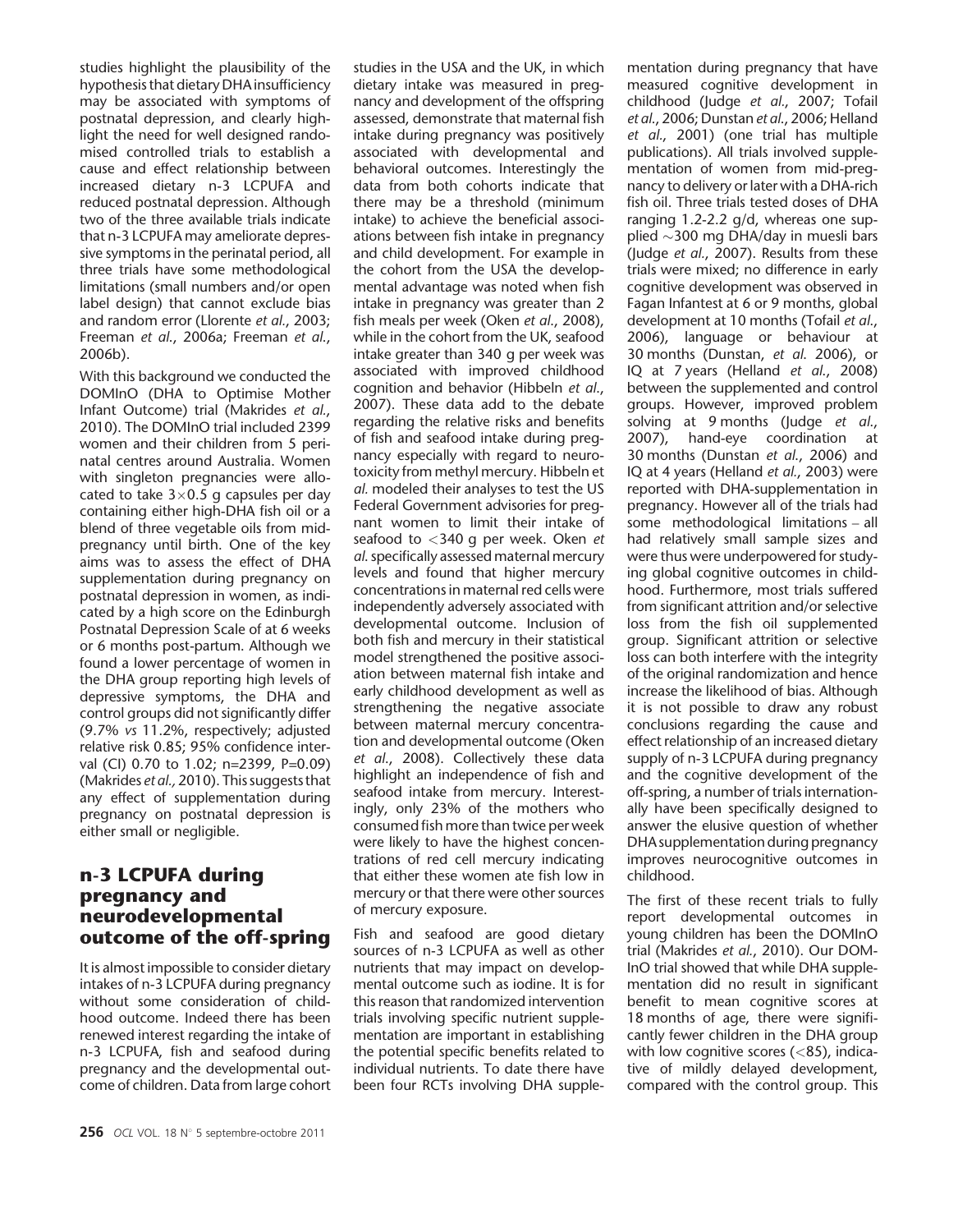studies highlight the plausibility of the hypothesis that dietary DHA insufficiency may be associated with symptoms of postnatal depression, and clearly highlight the need for well designed randomised controlled trials to establish a cause and effect relationship between increased dietary n-3 LCPUFA and reduced postnatal depression. Although two of the three available trials indicate that n-3 LCPUFA may ameliorate depressive symptoms in the perinatal period, all three trials have some methodological limitations (small numbers and/or open label design) that cannot exclude bias and random error (Llorente et al., 2003; Freeman et al., 2006a; Freeman et al., 2006b).

With this background we conducted the DOMInO (DHA to Optimise Mother Infant Outcome) trial (Makrides et al., 2010). The DOMInO trial included 2399 women and their children from 5 perinatal centres around Australia. Women with singleton pregnancies were allocated to take  $3\times0.5$  g capsules per day containing either high-DHA fish oil or a blend of three vegetable oils from midpregnancy until birth. One of the key aims was to assess the effect of DHA supplementation during pregnancy on postnatal depression in women, as indicated by a high score on the Edinburgh Postnatal Depression Scale of at 6 weeks or 6 months post-partum. Although we found a lower percentage of women in the DHA group reporting high levels of depressive symptoms, the DHA and control groups did not significantly differ (9.7% vs 11.2%, respectively; adjusted relative risk 0.85; 95% confidence interval (CI) 0.70 to 1.02; n=2399, P=0.09) (Makrides et al., 2010). This suggests that any effect of supplementation during pregnancy on postnatal depression is either small or negligible.

### n-3 LCPUFA during pregnancy and neurodevelopmental outcome of the off-spring

It is almost impossible to consider dietary intakes of n-3 LCPUFA during pregnancy without some consideration of childhood outcome. Indeed there has been renewed interest regarding the intake of n-3 LCPUFA, fish and seafood during pregnancy and the developmental outcome of children. Data from large cohort

studies in the USA and the UK, in which dietary intake was measured in pregnancy and development of the offspring assessed, demonstrate that maternal fish intake during pregnancy was positively associated with developmental and behavioral outcomes. Interestingly the data from both cohorts indicate that there may be a threshold (minimum intake) to achieve the beneficial associations between fish intake in pregnancy and child development. For example in the cohort from the USA the developmental advantage was noted when fish intake in pregnancy was greater than 2 fish meals per week (Oken et al., 2008), while in the cohort from the UK, seafood intake greater than 340 g per week was associated with improved childhood cognition and behavior (Hibbeln et al., 2007). These data add to the debate regarding the relative risks and benefits of fish and seafood intake during pregnancy especially with regard to neurotoxicity from methyl mercury. Hibbeln et al. modeled their analyses to test the US Federal Government advisories for pregnant women to limit their intake of seafood to <340 g per week. Oken et al. specifically assessed maternal mercury levels and found that higher mercury concentrations in maternal red cells were independently adversely associated with developmental outcome. Inclusion of both fish and mercury in their statistical model strengthened the positive association between maternal fish intake and early childhood development as well as strengthening the negative associate between maternal mercury concentration and developmental outcome (Oken et al., 2008). Collectively these data highlight an independence of fish and seafood intake from mercury. Interestingly, only 23% of the mothers who consumed fish more than twice per week were likely to have the highest concentrations of red cell mercury indicating that either these women ate fish low in mercury or that there were other sources of mercury exposure.

Fish and seafood are good dietary sources of n-3 LCPUFA as well as other nutrients that may impact on developmental outcome such as iodine. It is for this reason that randomized intervention trials involving specific nutrient supplementation are important in establishing the potential specific benefits related to individual nutrients. To date there have been four RCTs involving DHA supplementation during pregnancy that have measured cognitive development in childhood (Judge et al., 2007; Tofail et al., 2006; Dunstan et al., 2006; Helland et al., 2001) (one trial has multiple publications). All trials involved supplementation of women from mid-pregnancy to delivery or later with a DHA-rich fish oil. Three trials tested doses of DHA ranging 1.2-2.2 g/d, whereas one supplied  $\sim$ 300 mg DHA/day in muesli bars (Judge et al., 2007). Results from these trials were mixed; no difference in early cognitive development was observed in Fagan Infantest at 6 or 9 months, global development at 10 months (Tofail et al., 2006), language or behaviour at 30 months (Dunstan, et al. 2006), or IQ at 7 years (Helland et al., 2008) between the supplemented and control groups. However, improved problem solving at 9 months (Judge et al.,<br>2007), hand-eye coordination at hand-eye coordination at 30 months (Dunstan et al., 2006) and IQ at 4 years (Helland et al., 2003) were reported with DHA-supplementation in pregnancy. However all of the trials had some methodological limitations *–* all had relatively small sample sizes and were thus were underpowered for studying global cognitive outcomes in childhood. Furthermore, most trials suffered from significant attrition and/or selective loss from the fish oil supplemented group. Significant attrition or selective loss can both interfere with the integrity of the original randomization and hence increase the likelihood of bias. Although it is not possible to draw any robust conclusions regarding the cause and effect relationship of an increased dietary supply of n-3 LCPUFA during pregnancy and the cognitive development of the off-spring, a number of trials internationally have been specifically designed to answer the elusive question of whether DHA supplementation during pregnancy improves neurocognitive outcomes in childhood.

The first of these recent trials to fully report developmental outcomes in young children has been the DOMInO trial (Makrides et al., 2010). Our DOM-InO trial showed that while DHA supplementation did no result in significant benefit to mean cognitive scores at 18 months of age, there were significantly fewer children in the DHA group with low cognitive scores (<85), indicative of mildly delayed development, compared with the control group. This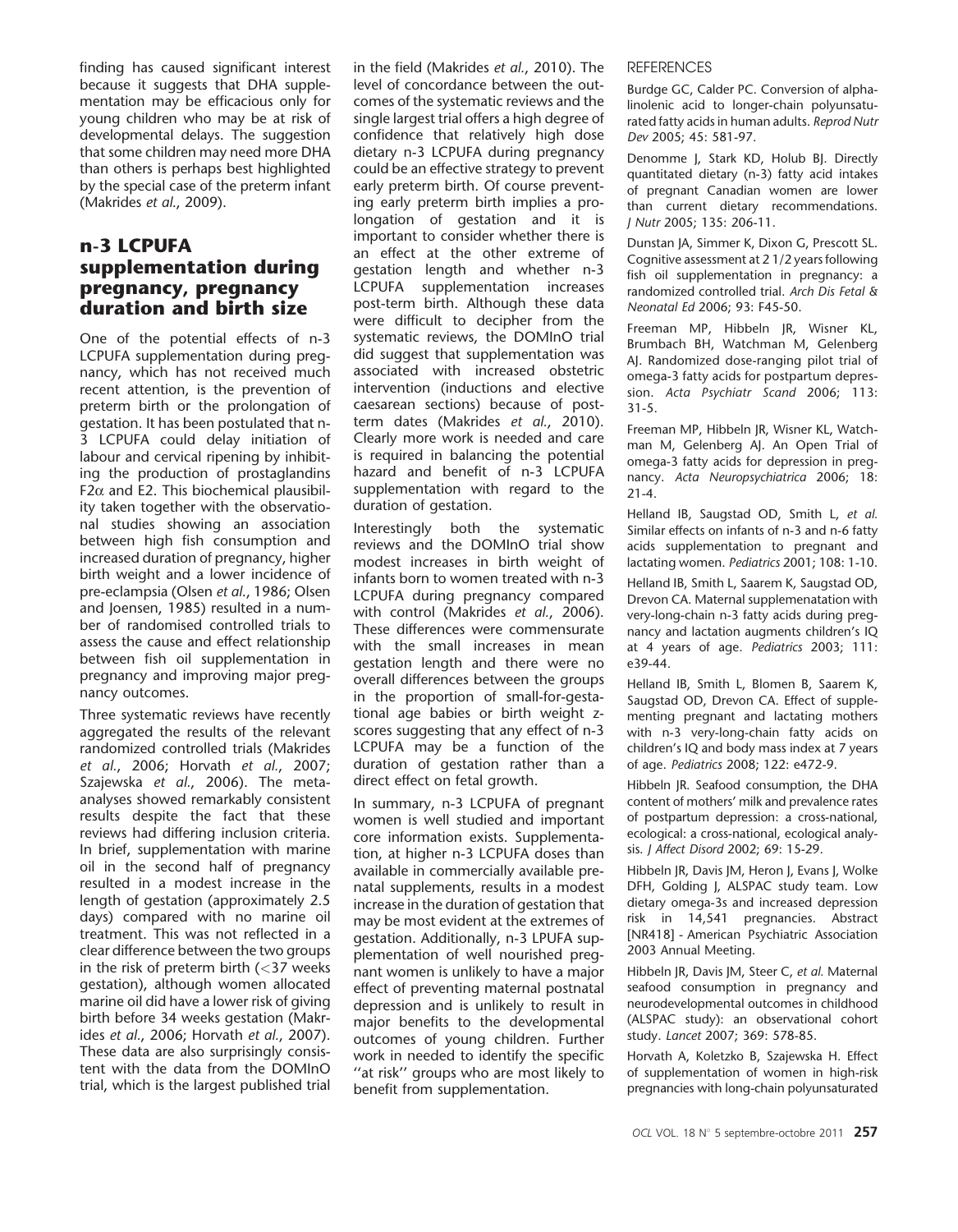finding has caused significant interest because it suggests that DHA supplementation may be efficacious only for young children who may be at risk of developmental delays. The suggestion that some children may need more DHA than others is perhaps best highlighted by the special case of the preterm infant (Makrides et al., 2009).

### n-3 LCPUFA supplementation during pregnancy, pregnancy duration and birth size

One of the potential effects of n-3 LCPUFA supplementation during pregnancy, which has not received much recent attention, is the prevention of preterm birth or the prolongation of gestation. It has been postulated that n-3 LCPUFA could delay initiation of labour and cervical ripening by inhibiting the production of prostaglandins  $F2\alpha$  and E2. This biochemical plausibility taken together with the observational studies showing an association between high fish consumption and increased duration of pregnancy, higher birth weight and a lower incidence of pre-eclampsia (Olsen et al., 1986; Olsen and Joensen, 1985) resulted in a number of randomised controlled trials to assess the cause and effect relationship between fish oil supplementation in pregnancy and improving major pregnancy outcomes.

Three systematic reviews have recently aggregated the results of the relevant randomized controlled trials (Makrides et al., 2006; Horvath et al., 2007; Szajewska et al., 2006). The metaanalyses showed remarkably consistent results despite the fact that these reviews had differing inclusion criteria. In brief, supplementation with marine oil in the second half of pregnancy resulted in a modest increase in the length of gestation (approximately 2.5 days) compared with no marine oil treatment. This was not reflected in a clear difference between the two groups in the risk of preterm birth  $\left( < 37 \right)$  weeks gestation), although women allocated marine oil did have a lower risk of giving birth before 34 weeks gestation (Makrides et al., 2006; Horvath et al., 2007). These data are also surprisingly consistent with the data from the DOMInO trial, which is the largest published trial

in the field (Makrides et al., 2010). The level of concordance between the outcomes of the systematic reviews and the single largest trial offers a high degree of confidence that relatively high dose dietary n-3 LCPUFA during pregnancy could be an effective strategy to prevent early preterm birth. Of course preventing early preterm birth implies a prolongation of gestation and it is important to consider whether there is an effect at the other extreme of gestation length and whether n-3 LCPUFA supplementation increases post-term birth. Although these data were difficult to decipher from the systematic reviews, the DOMInO trial did suggest that supplementation was associated with increased obstetric intervention (inductions and elective caesarean sections) because of postterm dates (Makrides et al., 2010). Clearly more work is needed and care is required in balancing the potential hazard and benefit of n-3 LCPUFA supplementation with regard to the duration of gestation.

Interestingly both the systematic reviews and the DOMInO trial show modest increases in birth weight of infants born to women treated with n-3 LCPUFA during pregnancy compared with control (Makrides et al., 2006). These differences were commensurate with the small increases in mean gestation length and there were no overall differences between the groups in the proportion of small-for-gestational age babies or birth weight zscores suggesting that any effect of n-3 LCPUFA may be a function of the duration of gestation rather than a direct effect on fetal growth.

In summary, n-3 LCPUFA of pregnant women is well studied and important core information exists. Supplementation, at higher n-3 LCPUFA doses than available in commercially available prenatal supplements, results in a modest increase in the duration of gestation that may be most evident at the extremes of gestation. Additionally, n-3 LPUFA supplementation of well nourished pregnant women is unlikely to have a major effect of preventing maternal postnatal depression and is unlikely to result in major benefits to the developmental outcomes of young children. Further work in needed to identify the specific ''at risk'' groups who are most likely to benefit from supplementation.

#### **REFERENCES**

Burdge GC, Calder PC. Conversion of alphalinolenic acid to longer-chain polyunsaturated fatty acids in human adults. Reprod Nutr Dev 2005; 45: 581-97.

Denomme J, Stark KD, Holub BJ. Directly quantitated dietary (n-3) fatty acid intakes of pregnant Canadian women are lower than current dietary recommendations. J Nutr 2005; 135: 206-11.

Dunstan JA, Simmer K, Dixon G, Prescott SL. Cognitive assessment at 2 1/2 years following fish oil supplementation in pregnancy: a randomized controlled trial. Arch Dis Fetal & Neonatal Ed 2006; 93: F45-50.

Freeman MP, Hibbeln JR, Wisner KL, Brumbach BH, Watchman M, Gelenberg AJ. Randomized dose-ranging pilot trial of omega-3 fatty acids for postpartum depression. Acta Psychiatr Scand 2006; 113: 31-5.

Freeman MP, Hibbeln JR, Wisner KL, Watchman M, Gelenberg AJ. An Open Trial of omega-3 fatty acids for depression in pregnancy. Acta Neuropsychiatrica 2006; 18: 21-4.

Helland IB, Saugstad OD, Smith L, et al. Similar effects on infants of n-3 and n-6 fatty acids supplementation to pregnant and lactating women. Pediatrics 2001; 108: 1-10.

Helland IB, Smith L, Saarem K, Saugstad OD, Drevon CA. Maternal supplemenatation with very-long-chain n-3 fatty acids during pregnancy and lactation augments children's IQ at 4 years of age. Pediatrics 2003; 111: e39-44.

Helland IB, Smith L, Blomen B, Saarem K, Saugstad OD, Drevon CA. Effect of supplementing pregnant and lactating mothers with n-3 very-long-chain fatty acids on children's IQ and body mass index at 7 years of age. Pediatrics 2008; 122: e472-9.

Hibbeln JR. Seafood consumption, the DHA content of mothers' milk and prevalence rates of postpartum depression: a cross-national, ecological: a cross-national, ecological analysis. J Affect Disord 2002; 69: 15-29.

Hibbeln JR, Davis JM, Heron J, Evans J, Wolke DFH, Golding J, ALSPAC study team. Low dietary omega-3s and increased depression risk in 14,541 pregnancies. Abstract [NR418] - American Psychiatric Association 2003 Annual Meeting.

Hibbeln JR, Davis JM, Steer C, et al. Maternal seafood consumption in pregnancy and neurodevelopmental outcomes in childhood (ALSPAC study): an observational cohort study. Lancet 2007; 369: 578-85.

Horvath A, Koletzko B, Szajewska H. Effect of supplementation of women in high-risk pregnancies with long-chain polyunsaturated